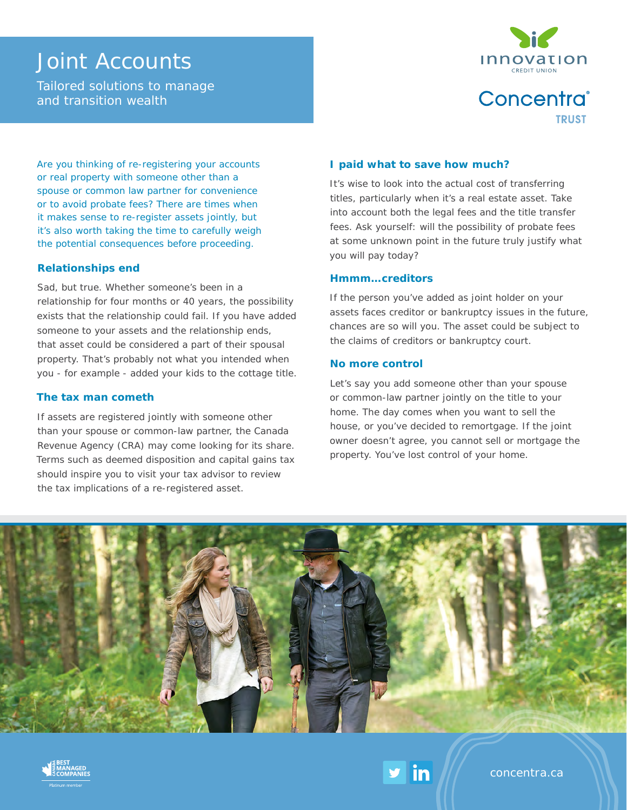# Joint Accounts

Tailored solutions to manage and transition wealth



Concentra® **TRUST** 

Are you thinking of re-registering your accounts or real property with someone other than a spouse or common law partner for convenience or to avoid probate fees? There are times when it makes sense to re-register assets jointly, but it's also worth taking the time to carefully weigh the potential consequences before proceeding.

#### **Relationships end**

Sad, but true. Whether someone's been in a relationship for four months or 40 years, the possibility exists that the relationship could fail. If you have added someone to your assets and the relationship ends, that asset could be considered a part of their spousal property. That's probably not what you intended when you - for example - added your kids to the cottage title.

#### **The tax man cometh**

If assets are registered jointly with someone other than your spouse or common-law partner, the Canada Revenue Agency (CRA) may come looking for its share. Terms such as deemed disposition and capital gains tax should inspire you to visit your tax advisor to review the tax implications of a re-registered asset.

#### **I paid what to save how much?**

It's wise to look into the actual cost of transferring titles, particularly when it's a real estate asset. Take into account both the legal fees and the title transfer fees. Ask yourself: will the possibility of probate fees at some unknown point in the future truly justify what you will pay today?

#### **Hmmm…creditors**

If the person you've added as joint holder on your assets faces creditor or bankruptcy issues in the future, chances are so will you. The asset could be subject to the claims of creditors or bankruptcy court.

#### **No more control**

Let's say you add someone other than your spouse or common-law partner jointly on the title to your home. The day comes when you want to sell the house, or you've decided to remortgage. If the joint owner doesn't agree, you cannot sell or mortgage the property. You've lost control of your home.